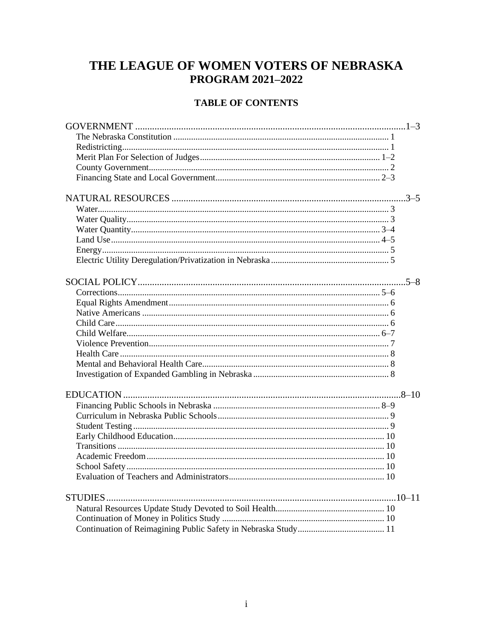# THE LEAGUE OF WOMEN VOTERS OF NEBRASKA **PROGRAM 2021-2022**

# **TABLE OF CONTENTS**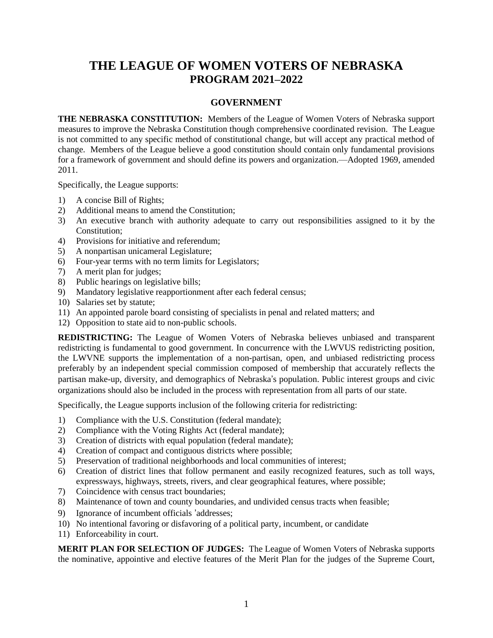# **THE LEAGUE OF WOMEN VOTERS OF NEBRASKA PROGRAM 2021–2022**

## **GOVERNMENT**

**THE NEBRASKA CONSTITUTION:** Members of the League of Women Voters of Nebraska support measures to improve the Nebraska Constitution though comprehensive coordinated revision. The League is not committed to any specific method of constitutional change, but will accept any practical method of change. Members of the League believe a good constitution should contain only fundamental provisions for a framework of government and should define its powers and organization.—Adopted 1969, amended 2011.

Specifically, the League supports:

- 1) A concise Bill of Rights;
- 2) Additional means to amend the Constitution;
- 3) An executive branch with authority adequate to carry out responsibilities assigned to it by the Constitution;
- 4) Provisions for initiative and referendum;
- 5) A nonpartisan unicameral Legislature;
- 6) Four-year terms with no term limits for Legislators;
- 7) A merit plan for judges;
- 8) Public hearings on legislative bills;
- 9) Mandatory legislative reapportionment after each federal census;
- 10) Salaries set by statute;
- 11) An appointed parole board consisting of specialists in penal and related matters; and
- 12) Opposition to state aid to non-public schools.

**REDISTRICTING:** The League of Women Voters of Nebraska believes unbiased and transparent redistricting is fundamental to good government. In concurrence with the LWVUS redistricting position, the LWVNE supports the implementation of a non-partisan, open, and unbiased redistricting process preferably by an independent special commission composed of membership that accurately reflects the partisan make-up, diversity, and demographics of Nebraska's population. Public interest groups and civic organizations should also be included in the process with representation from all parts of our state.

Specifically, the League supports inclusion of the following criteria for redistricting:

- 1) Compliance with the U.S. Constitution (federal mandate);
- 2) Compliance with the Voting Rights Act (federal mandate);
- 3) Creation of districts with equal population (federal mandate);
- 4) Creation of compact and contiguous districts where possible;
- 5) Preservation of traditional neighborhoods and local communities of interest;
- 6) Creation of district lines that follow permanent and easily recognized features, such as toll ways, expressways, highways, streets, rivers, and clear geographical features, where possible;
- 7) Coincidence with census tract boundaries;
- 8) Maintenance of town and county boundaries, and undivided census tracts when feasible;
- 9) Ignorance of incumbent officials 'addresses;
- 10) No intentional favoring or disfavoring of a political party, incumbent, or candidate
- 11) Enforceability in court.

**MERIT PLAN FOR SELECTION OF JUDGES:** The League of Women Voters of Nebraska supports the nominative, appointive and elective features of the Merit Plan for the judges of the Supreme Court,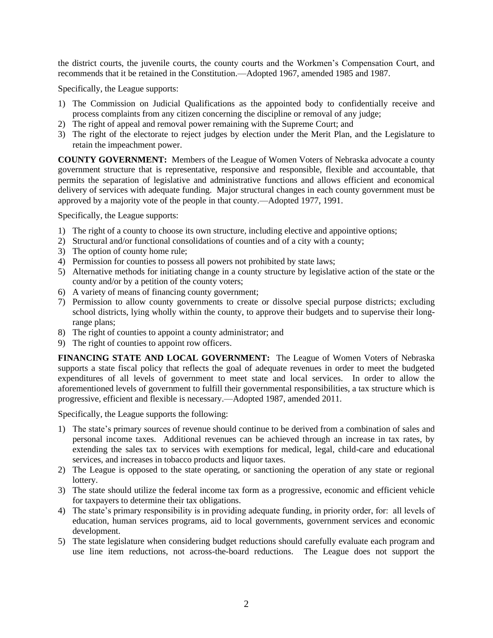the district courts, the juvenile courts, the county courts and the Workmen's Compensation Court, and recommends that it be retained in the Constitution.—Adopted 1967, amended 1985 and 1987.

Specifically, the League supports:

- 1) The Commission on Judicial Qualifications as the appointed body to confidentially receive and process complaints from any citizen concerning the discipline or removal of any judge;
- 2) The right of appeal and removal power remaining with the Supreme Court; and
- 3) The right of the electorate to reject judges by election under the Merit Plan, and the Legislature to retain the impeachment power.

**COUNTY GOVERNMENT:** Members of the League of Women Voters of Nebraska advocate a county government structure that is representative, responsive and responsible, flexible and accountable, that permits the separation of legislative and administrative functions and allows efficient and economical delivery of services with adequate funding. Major structural changes in each county government must be approved by a majority vote of the people in that county.—Adopted 1977, 1991.

Specifically, the League supports:

- 1) The right of a county to choose its own structure, including elective and appointive options;
- 2) Structural and/or functional consolidations of counties and of a city with a county;
- 3) The option of county home rule;
- 4) Permission for counties to possess all powers not prohibited by state laws;
- 5) Alternative methods for initiating change in a county structure by legislative action of the state or the county and/or by a petition of the county voters;
- 6) A variety of means of financing county government;
- 7) Permission to allow county governments to create or dissolve special purpose districts; excluding school districts, lying wholly within the county, to approve their budgets and to supervise their longrange plans;
- 8) The right of counties to appoint a county administrator; and
- 9) The right of counties to appoint row officers.

**FINANCING STATE AND LOCAL GOVERNMENT:** The League of Women Voters of Nebraska supports a state fiscal policy that reflects the goal of adequate revenues in order to meet the budgeted expenditures of all levels of government to meet state and local services. In order to allow the aforementioned levels of government to fulfill their governmental responsibilities, a tax structure which is progressive, efficient and flexible is necessary.—Adopted 1987, amended 2011.

Specifically, the League supports the following:

- 1) The state's primary sources of revenue should continue to be derived from a combination of sales and personal income taxes. Additional revenues can be achieved through an increase in tax rates, by extending the sales tax to services with exemptions for medical, legal, child-care and educational services, and increases in tobacco products and liquor taxes.
- 2) The League is opposed to the state operating, or sanctioning the operation of any state or regional lottery.
- 3) The state should utilize the federal income tax form as a progressive, economic and efficient vehicle for taxpayers to determine their tax obligations.
- 4) The state's primary responsibility is in providing adequate funding, in priority order, for: all levels of education, human services programs, aid to local governments, government services and economic development.
- 5) The state legislature when considering budget reductions should carefully evaluate each program and use line item reductions, not across-the-board reductions. The League does not support the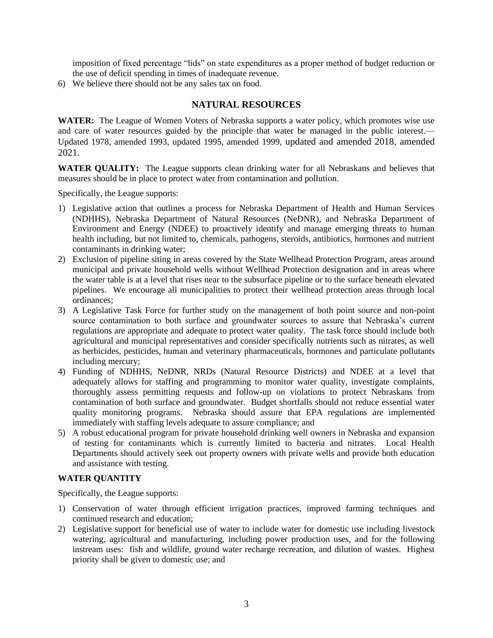imposition of fixed percentage "lids" on state expenditures as a proper method of budget reduction or the use of deficit spending in times of inadequate revenue.

6) We believe there should not be any sales tax on food.

## **NATURAL RESOURCES**

**WATER:** The League of Women Voters of Nebraska supports a water policy, which promotes wise use and care of water resources guided by the principle that water be managed in the public interest.— Updated 1978, amended 1993, updated 1995, amended 1999, updated and amended 2018, amended 2021.

WATER QUALITY: The League supports clean drinking water for all Nebraskans and believes that measures should be in place to protect water from contamination and pollution.

Specifically, the League supports:

- 1) Legislative action that outlines a process for Nebraska Department of Health and Human Services (NDHHS), Nebraska Department of Natural Resources (NeDNR), and Nebraska Department of Environment and Energy (NDEE) to proactively identify and manage emerging threats to human health including, but not limited to, chemicals, pathogens, steroids, antibiotics, hormones and nutrient contaminants in drinking water;
- 2) Exclusion of pipeline siting in areas covered by the State Wellhead Protection Program, areas around municipal and private household wells without Wellhead Protection designation and in areas where the water table is at a level that rises near to the subsurface pipeline or to the surface beneath elevated pipelines. We encourage all municipalities to protect their wellhead protection areas through local ordinances;
- 3) A Legislative Task Force for further study on the management of both point source and non-point source contamination to both surface and groundwater sources to assure that Nebraska's current regulations are appropriate and adequate to protect water quality. The task force should include both agricultural and municipal representatives and consider specifically nutrients such as nitrates, as well as herbicides, pesticides, human and veterinary pharmaceuticals, hormones and particulate pollutants including mercury;
- 4) Funding of NDHHS, NeDNR, NRDs (Natural Resource Districts) and NDEE at a level that adequately allows for staffing and programming to monitor water quality, investigate complaints, thoroughly assess permitting requests and follow-up on violations to protect Nebraskans from contamination of both surface and groundwater. Budget shortfalls should not reduce essential water quality monitoring programs. Nebraska should assure that EPA regulations are implemented immediately with staffing levels adequate to assure compliance; and
- 5) A robust educational program for private household drinking well owners in Nebraska and expansion of testing for contaminants which is currently limited to bacteria and nitrates. Local Health Departments should actively seek out property owners with private wells and provide both education and assistance with testing.

#### **WATER QUANTITY**

Specifically, the League supports:

- 1) Conservation of water through efficient irrigation practices, improved farming techniques and continued research and education;
- 2) Legislative support for beneficial use of water to include water for domestic use including livestock watering, agricultural and manufacturing, including power production uses, and for the following instream uses: fish and wildlife, ground water recharge recreation, and dilution of wastes. Highest priority shall be given to domestic use; and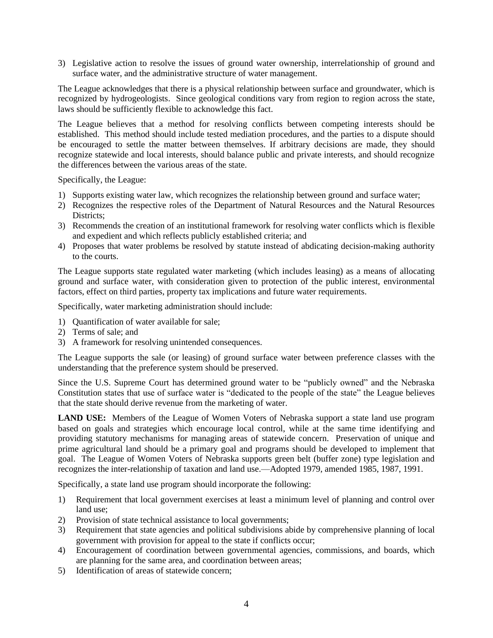3) Legislative action to resolve the issues of ground water ownership, interrelationship of ground and surface water, and the administrative structure of water management.

The League acknowledges that there is a physical relationship between surface and groundwater, which is recognized by hydrogeologists. Since geological conditions vary from region to region across the state, laws should be sufficiently flexible to acknowledge this fact.

The League believes that a method for resolving conflicts between competing interests should be established. This method should include tested mediation procedures, and the parties to a dispute should be encouraged to settle the matter between themselves. If arbitrary decisions are made, they should recognize statewide and local interests, should balance public and private interests, and should recognize the differences between the various areas of the state.

Specifically, the League:

- 1) Supports existing water law, which recognizes the relationship between ground and surface water;
- 2) Recognizes the respective roles of the Department of Natural Resources and the Natural Resources Districts<sup>.</sup>
- 3) Recommends the creation of an institutional framework for resolving water conflicts which is flexible and expedient and which reflects publicly established criteria; and
- 4) Proposes that water problems be resolved by statute instead of abdicating decision-making authority to the courts.

The League supports state regulated water marketing (which includes leasing) as a means of allocating ground and surface water, with consideration given to protection of the public interest, environmental factors, effect on third parties, property tax implications and future water requirements.

Specifically, water marketing administration should include:

- 1) Quantification of water available for sale;
- 2) Terms of sale; and
- 3) A framework for resolving unintended consequences.

The League supports the sale (or leasing) of ground surface water between preference classes with the understanding that the preference system should be preserved.

Since the U.S. Supreme Court has determined ground water to be "publicly owned" and the Nebraska Constitution states that use of surface water is "dedicated to the people of the state" the League believes that the state should derive revenue from the marketing of water.

**LAND USE:** Members of the League of Women Voters of Nebraska support a state land use program based on goals and strategies which encourage local control, while at the same time identifying and providing statutory mechanisms for managing areas of statewide concern. Preservation of unique and prime agricultural land should be a primary goal and programs should be developed to implement that goal. The League of Women Voters of Nebraska supports green belt (buffer zone) type legislation and recognizes the inter-relationship of taxation and land use.—Adopted 1979, amended 1985, 1987, 1991.

Specifically, a state land use program should incorporate the following:

- 1) Requirement that local government exercises at least a minimum level of planning and control over land use;
- 2) Provision of state technical assistance to local governments;
- 3) Requirement that state agencies and political subdivisions abide by comprehensive planning of local government with provision for appeal to the state if conflicts occur;
- 4) Encouragement of coordination between governmental agencies, commissions, and boards, which are planning for the same area, and coordination between areas;
- 5) Identification of areas of statewide concern;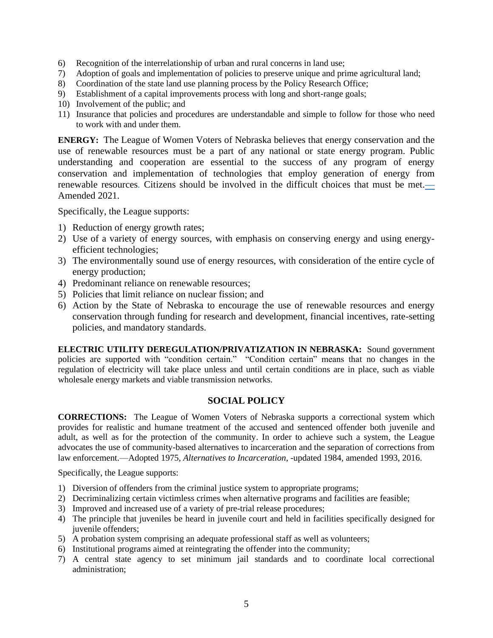- 6) Recognition of the interrelationship of urban and rural concerns in land use;
- 7) Adoption of goals and implementation of policies to preserve unique and prime agricultural land;
- 8) Coordination of the state land use planning process by the Policy Research Office;
- 9) Establishment of a capital improvements process with long and short-range goals;
- 10) Involvement of the public; and
- 11) Insurance that policies and procedures are understandable and simple to follow for those who need to work with and under them.

**ENERGY:** The League of Women Voters of Nebraska believes that energy conservation and the use of renewable resources must be a part of any national or state energy program. Public understanding and cooperation are essential to the success of any program of energy conservation and implementation of technologies that employ generation of energy from renewable resources*.* Citizens should be involved in the difficult choices that must be met.**—** Amended 2021.

Specifically, the League supports:

- 1) Reduction of energy growth rates;
- 2) Use of a variety of energy sources, with emphasis on conserving energy and using energyefficient technologies;
- 3) The environmentally sound use of energy resources, with consideration of the entire cycle of energy production;
- 4) Predominant reliance on renewable resources;
- 5) Policies that limit reliance on nuclear fission; and
- 6) Action by the State of Nebraska to encourage the use of renewable resources and energy conservation through funding for research and development, financial incentives, rate-setting policies, and mandatory standards.

**ELECTRIC UTILITY DEREGULATION/PRIVATIZATION IN NEBRASKA:** Sound government policies are supported with "condition certain." "Condition certain" means that no changes in the regulation of electricity will take place unless and until certain conditions are in place, such as viable wholesale energy markets and viable transmission networks.

## **SOCIAL POLICY**

**CORRECTIONS:** The League of Women Voters of Nebraska supports a correctional system which provides for realistic and humane treatment of the accused and sentenced offender both juvenile and adult, as well as for the protection of the community. In order to achieve such a system, the League advocates the use of community-based alternatives to incarceration and the separation of corrections from law enforcement.—Adopted 1975, *Alternatives to Incarceration*, -updated 1984, amended 1993, 2016.

Specifically, the League supports:

- 1) Diversion of offenders from the criminal justice system to appropriate programs;
- 2) Decriminalizing certain victimless crimes when alternative programs and facilities are feasible;
- 3) Improved and increased use of a variety of pre-trial release procedures;
- 4) The principle that juveniles be heard in juvenile court and held in facilities specifically designed for juvenile offenders;
- 5) A probation system comprising an adequate professional staff as well as volunteers;
- 6) Institutional programs aimed at reintegrating the offender into the community;
- 7) A central state agency to set minimum jail standards and to coordinate local correctional administration;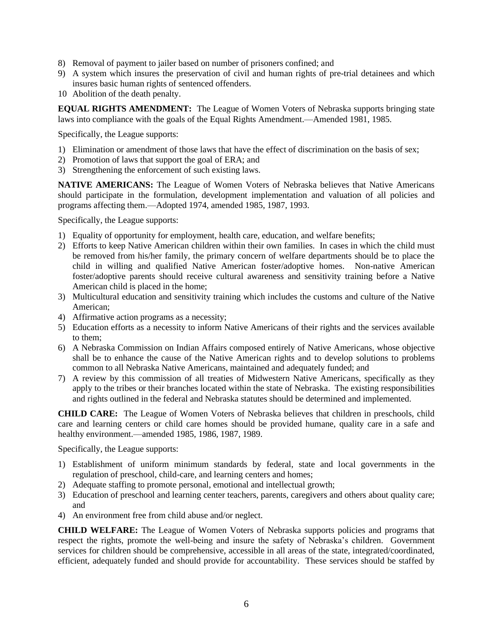- 8) Removal of payment to jailer based on number of prisoners confined; and
- 9) A system which insures the preservation of civil and human rights of pre-trial detainees and which insures basic human rights of sentenced offenders.
- 10 Abolition of the death penalty.

**EQUAL RIGHTS AMENDMENT:** The League of Women Voters of Nebraska supports bringing state laws into compliance with the goals of the Equal Rights Amendment.—Amended 1981, 1985.

Specifically, the League supports:

- 1) Elimination or amendment of those laws that have the effect of discrimination on the basis of sex;
- 2) Promotion of laws that support the goal of ERA; and
- 3) Strengthening the enforcement of such existing laws.

**NATIVE AMERICANS:** The League of Women Voters of Nebraska believes that Native Americans should participate in the formulation, development implementation and valuation of all policies and programs affecting them.—Adopted 1974, amended 1985, 1987, 1993.

Specifically, the League supports:

- 1) Equality of opportunity for employment, health care, education, and welfare benefits;
- 2) Efforts to keep Native American children within their own families. In cases in which the child must be removed from his/her family, the primary concern of welfare departments should be to place the child in willing and qualified Native American foster/adoptive homes. Non-native American foster/adoptive parents should receive cultural awareness and sensitivity training before a Native American child is placed in the home;
- 3) Multicultural education and sensitivity training which includes the customs and culture of the Native American;
- 4) Affirmative action programs as a necessity;
- 5) Education efforts as a necessity to inform Native Americans of their rights and the services available to them;
- 6) A Nebraska Commission on Indian Affairs composed entirely of Native Americans, whose objective shall be to enhance the cause of the Native American rights and to develop solutions to problems common to all Nebraska Native Americans, maintained and adequately funded; and
- 7) A review by this commission of all treaties of Midwestern Native Americans, specifically as they apply to the tribes or their branches located within the state of Nebraska. The existing responsibilities and rights outlined in the federal and Nebraska statutes should be determined and implemented.

**CHILD CARE:** The League of Women Voters of Nebraska believes that children in preschools, child care and learning centers or child care homes should be provided humane, quality care in a safe and healthy environment.—amended 1985, 1986, 1987, 1989.

Specifically, the League supports:

- 1) Establishment of uniform minimum standards by federal, state and local governments in the regulation of preschool, child-care, and learning centers and homes;
- 2) Adequate staffing to promote personal, emotional and intellectual growth;
- 3) Education of preschool and learning center teachers, parents, caregivers and others about quality care; and
- 4) An environment free from child abuse and/or neglect.

**CHILD WELFARE:** The League of Women Voters of Nebraska supports policies and programs that respect the rights, promote the well-being and insure the safety of Nebraska's children. Government services for children should be comprehensive, accessible in all areas of the state, integrated/coordinated, efficient, adequately funded and should provide for accountability. These services should be staffed by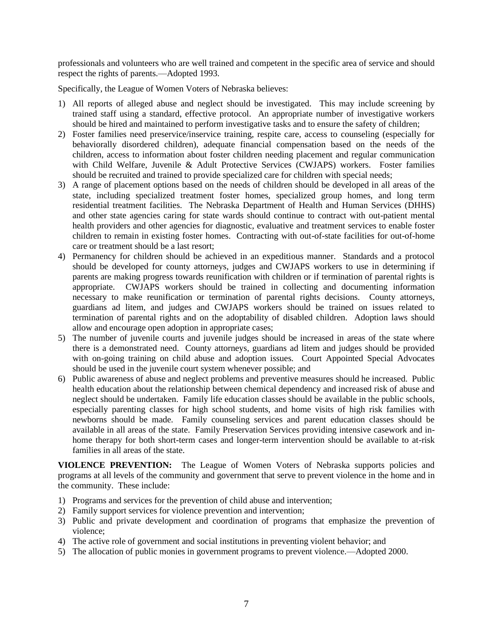professionals and volunteers who are well trained and competent in the specific area of service and should respect the rights of parents.—Adopted 1993.

Specifically, the League of Women Voters of Nebraska believes:

- 1) All reports of alleged abuse and neglect should be investigated. This may include screening by trained staff using a standard, effective protocol. An appropriate number of investigative workers should be hired and maintained to perform investigative tasks and to ensure the safety of children;
- 2) Foster families need preservice/inservice training, respite care, access to counseling (especially for behaviorally disordered children), adequate financial compensation based on the needs of the children, access to information about foster children needing placement and regular communication with Child Welfare, Juvenile & Adult Protective Services (CWJAPS) workers. Foster families should be recruited and trained to provide specialized care for children with special needs;
- 3) A range of placement options based on the needs of children should be developed in all areas of the state, including specialized treatment foster homes, specialized group homes, and long term residential treatment facilities. The Nebraska Department of Health and Human Services (DHHS) and other state agencies caring for state wards should continue to contract with out-patient mental health providers and other agencies for diagnostic, evaluative and treatment services to enable foster children to remain in existing foster homes. Contracting with out-of-state facilities for out-of-home care or treatment should be a last resort;
- 4) Permanency for children should be achieved in an expeditious manner. Standards and a protocol should be developed for county attorneys, judges and CWJAPS workers to use in determining if parents are making progress towards reunification with children or if termination of parental rights is appropriate. CWJAPS workers should be trained in collecting and documenting information necessary to make reunification or termination of parental rights decisions. County attorneys, guardians ad litem, and judges and CWJAPS workers should be trained on issues related to termination of parental rights and on the adoptability of disabled children. Adoption laws should allow and encourage open adoption in appropriate cases;
- 5) The number of juvenile courts and juvenile judges should be increased in areas of the state where there is a demonstrated need. County attorneys, guardians ad litem and judges should be provided with on-going training on child abuse and adoption issues. Court Appointed Special Advocates should be used in the juvenile court system whenever possible; and
- 6) Public awareness of abuse and neglect problems and preventive measures should he increased. Public health education about the relationship between chemical dependency and increased risk of abuse and neglect should be undertaken. Family life education classes should be available in the public schools, especially parenting classes for high school students, and home visits of high risk families with newborns should be made. Family counseling services and parent education classes should be available in all areas of the state. Family Preservation Services providing intensive casework and inhome therapy for both short-term cases and longer-term intervention should be available to at-risk families in all areas of the state.

**VIOLENCE PREVENTION:** The League of Women Voters of Nebraska supports policies and programs at all levels of the community and government that serve to prevent violence in the home and in the community. These include:

- 1) Programs and services for the prevention of child abuse and intervention;
- 2) Family support services for violence prevention and intervention;
- 3) Public and private development and coordination of programs that emphasize the prevention of violence;
- 4) The active role of government and social institutions in preventing violent behavior; and
- 5) The allocation of public monies in government programs to prevent violence.—Adopted 2000.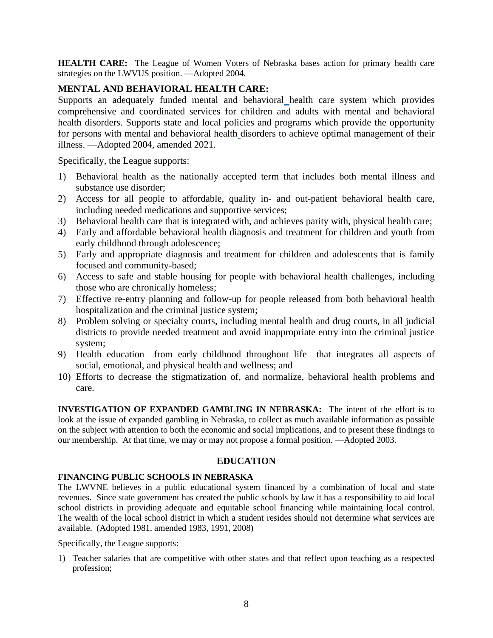**HEALTH CARE:** The League of Women Voters of Nebraska bases action for primary health care strategies on the LWVUS position. —Adopted 2004.

# **MENTAL AND BEHAVIORAL HEALTH CARE:**

Supports an adequately funded mental and behavioral health care system which provides comprehensive and coordinated services for children and adults with mental and behavioral health disorders. Supports state and local policies and programs which provide the opportunity for persons with mental and behavioral health disorders to achieve optimal management of their illness. —Adopted 2004, amended 2021.

Specifically, the League supports:

- 1) Behavioral health as the nationally accepted term that includes both mental illness and substance use disorder;
- 2) Access for all people to affordable, quality in- and out-patient behavioral health care, including needed medications and supportive services;
- 3) Behavioral health care that is integrated with, and achieves parity with, physical health care;
- 4) Early and affordable behavioral health diagnosis and treatment for children and youth from early childhood through adolescence;
- 5) Early and appropriate diagnosis and treatment for children and adolescents that is family focused and community-based;
- 6) Access to safe and stable housing for people with behavioral health challenges, including those who are chronically homeless;
- 7) Effective re-entry planning and follow-up for people released from both behavioral health hospitalization and the criminal justice system;
- 8) Problem solving or specialty courts, including mental health and drug courts, in all judicial districts to provide needed treatment and avoid inappropriate entry into the criminal justice system;
- 9) Health education—from early childhood throughout life—that integrates all aspects of social, emotional, and physical health and wellness; and
- 10) Efforts to decrease the stigmatization of, and normalize, behavioral health problems and care.

**INVESTIGATION OF EXPANDED GAMBLING IN NEBRASKA:** The intent of the effort is to look at the issue of expanded gambling in Nebraska, to collect as much available information as possible on the subject with attention to both the economic and social implications, and to present these findings to our membership. At that time, we may or may not propose a formal position. —Adopted 2003.

## **EDUCATION**

## **FINANCING PUBLIC SCHOOLS IN NEBRASKA**

The LWVNE believes in a public educational system financed by a combination of local and state revenues. Since state government has created the public schools by law it has a responsibility to aid local school districts in providing adequate and equitable school financing while maintaining local control. The wealth of the local school district in which a student resides should not determine what services are available. (Adopted 1981, amended 1983, 1991, 2008)

Specifically, the League supports:

1) Teacher salaries that are competitive with other states and that reflect upon teaching as a respected profession;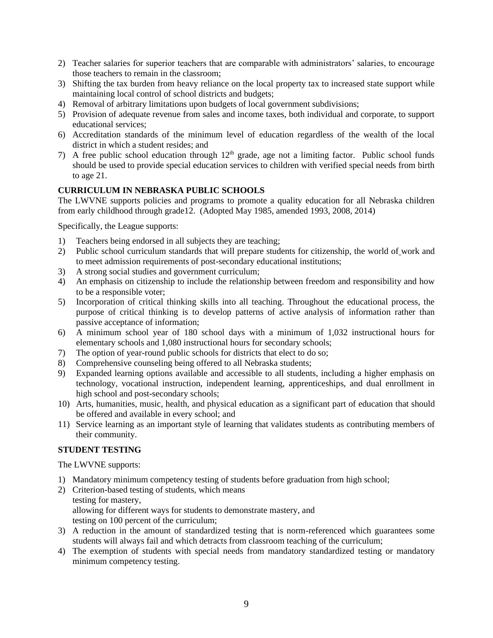- 2) Teacher salaries for superior teachers that are comparable with administrators' salaries, to encourage those teachers to remain in the classroom;
- 3) Shifting the tax burden from heavy reliance on the local property tax to increased state support while maintaining local control of school districts and budgets;
- 4) Removal of arbitrary limitations upon budgets of local government subdivisions;
- 5) Provision of adequate revenue from sales and income taxes, both individual and corporate, to support educational services;
- 6) Accreditation standards of the minimum level of education regardless of the wealth of the local district in which a student resides; and
- 7) A free public school education through  $12<sup>th</sup>$  grade, age not a limiting factor. Public school funds should be used to provide special education services to children with verified special needs from birth to age 21.

## **CURRICULUM IN NEBRASKA PUBLIC SCHOOLS**

The LWVNE supports policies and programs to promote a quality education for all Nebraska children from early childhood through grade12. (Adopted May 1985, amended 1993, 2008, 2014)

Specifically, the League supports:

- 1) Teachers being endorsed in all subjects they are teaching;
- 2) Public school curriculum standards that will prepare students for citizenship, the world of work and to meet admission requirements of post-secondary educational institutions;
- 3) A strong social studies and government curriculum;
- 4) An emphasis on citizenship to include the relationship between freedom and responsibility and how to be a responsible voter;
- 5) Incorporation of critical thinking skills into all teaching. Throughout the educational process, the purpose of critical thinking is to develop patterns of active analysis of information rather than passive acceptance of information;
- 6) A minimum school year of 180 school days with a minimum of 1,032 instructional hours for elementary schools and 1,080 instructional hours for secondary schools;
- 7) The option of year-round public schools for districts that elect to do so;
- 8) Comprehensive counseling being offered to all Nebraska students;
- 9) Expanded learning options available and accessible to all students, including a higher emphasis on technology, vocational instruction, independent learning, apprenticeships, and dual enrollment in high school and post-secondary schools;
- 10) Arts, humanities, music, health, and physical education as a significant part of education that should be offered and available in every school; and
- 11) Service learning as an important style of learning that validates students as contributing members of their community.

#### **STUDENT TESTING**

The LWVNE supports:

- 1) Mandatory minimum competency testing of students before graduation from high school;
- 2) Criterion-based testing of students, which means testing for mastery, allowing for different ways for students to demonstrate mastery, and testing on 100 percent of the curriculum;
- 3) A reduction in the amount of standardized testing that is norm-referenced which guarantees some students will always fail and which detracts from classroom teaching of the curriculum;
- 4) The exemption of students with special needs from mandatory standardized testing or mandatory minimum competency testing.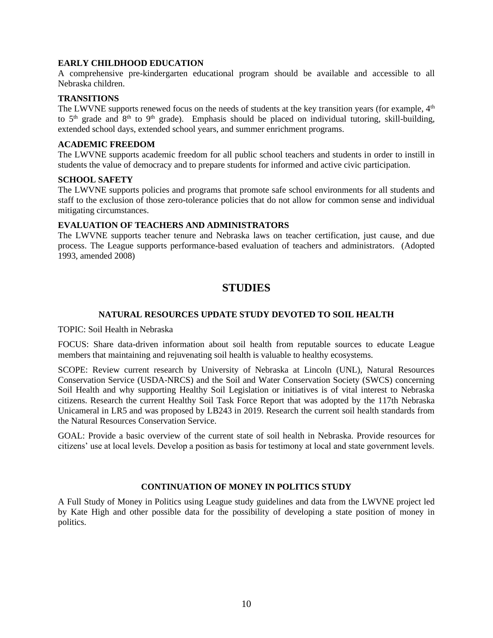#### **EARLY CHILDHOOD EDUCATION**

A comprehensive pre-kindergarten educational program should be available and accessible to all Nebraska children.

#### **TRANSITIONS**

The LWVNE supports renewed focus on the needs of students at the key transition years (for example,  $4<sup>th</sup>$ to  $5<sup>th</sup>$  grade and  $8<sup>th</sup>$  to  $9<sup>th</sup>$  grade). Emphasis should be placed on individual tutoring, skill-building, extended school days, extended school years, and summer enrichment programs.

#### **ACADEMIC FREEDOM**

The LWVNE supports academic freedom for all public school teachers and students in order to instill in students the value of democracy and to prepare students for informed and active civic participation.

### **SCHOOL SAFETY**

The LWVNE supports policies and programs that promote safe school environments for all students and staff to the exclusion of those zero-tolerance policies that do not allow for common sense and individual mitigating circumstances.

#### **EVALUATION OF TEACHERS AND ADMINISTRATORS**

The LWVNE supports teacher tenure and Nebraska laws on teacher certification, just cause, and due process. The League supports performance-based evaluation of teachers and administrators. (Adopted 1993, amended 2008)

# **STUDIES**

#### **NATURAL RESOURCES UPDATE STUDY DEVOTED TO SOIL HEALTH**

TOPIC: Soil Health in Nebraska

FOCUS: Share data-driven information about soil health from reputable sources to educate League members that maintaining and rejuvenating soil health is valuable to healthy ecosystems.

SCOPE: Review current research by University of Nebraska at Lincoln (UNL), Natural Resources Conservation Service (USDA-NRCS) and the Soil and Water Conservation Society (SWCS) concerning Soil Health and why supporting Healthy Soil Legislation or initiatives is of vital interest to Nebraska citizens. Research the current Healthy Soil Task Force Report that was adopted by the 117th Nebraska Unicameral in LR5 and was proposed by LB243 in 2019. Research the current soil health standards from the Natural Resources Conservation Service.

GOAL: Provide a basic overview of the current state of soil health in Nebraska. Provide resources for citizens' use at local levels. Develop a position as basis for testimony at local and state government levels.

#### **CONTINUATION OF MONEY IN POLITICS STUDY**

A Full Study of Money in Politics using League study guidelines and data from the LWVNE project led by Kate High and other possible data for the possibility of developing a state position of money in politics.